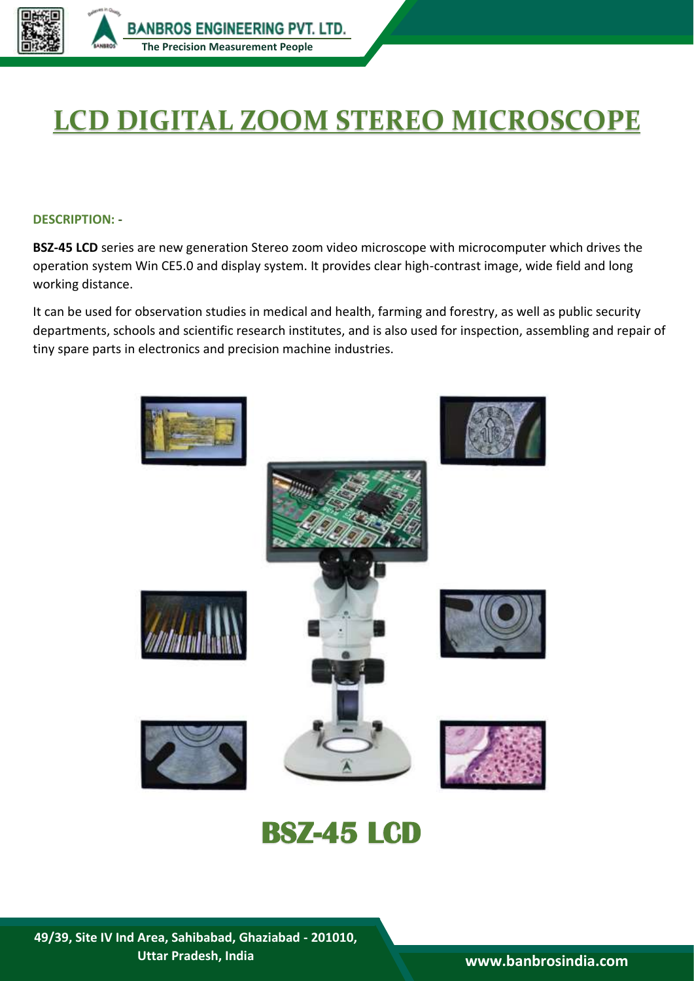

## **LCD DIGITAL ZOOM STEREO MICROSCOPE**

## **DESCRIPTION: -**

**BSZ-45 LCD** series are new generation Stereo zoom video microscope with microcomputer which drives the operation system Win CE5.0 and display system. It provides clear high-contrast image, wide field and long working distance.

It can be used for observation studies in medical and health, farming and forestry, as well as public security departments, schools and scientific research institutes, and is also used for inspection, assembling and repair of tiny spare parts in electronics and precision machine industries.



## **BSZ-45 LCD**